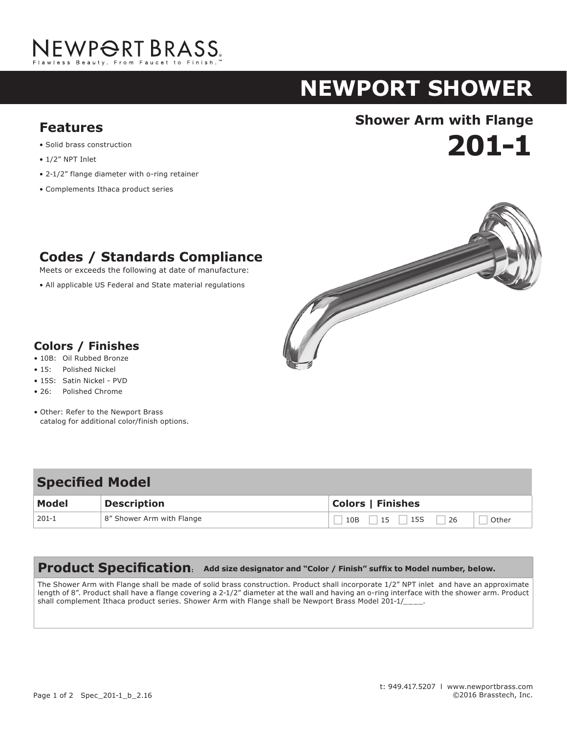

# **NEWPORT shower**

- Solid brass construction
- 1/2" NPT Inlet
- 2-1/2" flange diameter with o-ring retainer

**Codes / Standards Compliance** Meets or exceeds the following at date of manufacture: • All applicable US Federal and State material regulations

• Complements Ithaca product series

## **Shower Arm with Flange Features**





#### **Colors / Finishes**

- 10B: Oil Rubbed Bronze
- 15: Polished Nickel
- 15S: Satin Nickel PVD
- 26: Polished Chrome
- Other: Refer to the Newport Brass catalog for additional color/finish options.

#### **Specified Model**

| <b>Model</b> | <b>Description</b>        | <b>Colors   Finishes</b>                    |
|--------------|---------------------------|---------------------------------------------|
| $201-1$      | 8" Shower Arm with Flange | 15<br>$\frac{1}{26}$<br>15S<br>10B<br>Other |

#### **Product Specification: Add size designator and "Color / Finish" suffix to Model number, below.**

The Shower Arm with Flange shall be made of solid brass construction. Product shall incorporate 1/2" NPT inlet and have an approximate length of 8". Product shall have a flange covering a 2-1/2" diameter at the wall and having an o-ring interface with the shower arm. Product shall complement Ithaca product series. Shower Arm with Flange shall be Newport Brass Model 201-1/\_